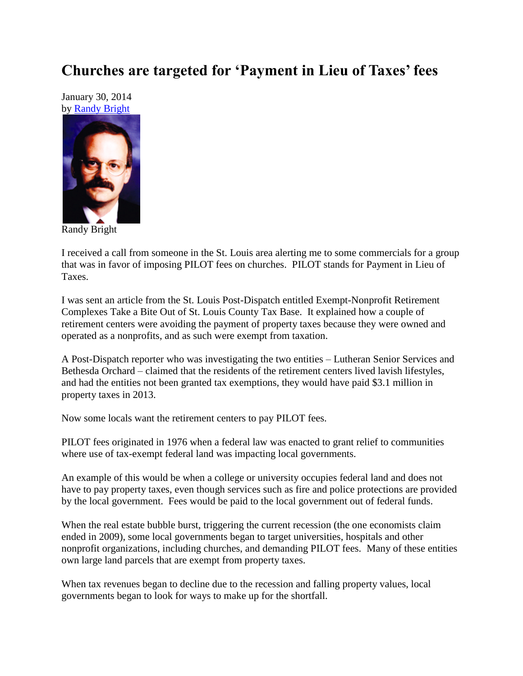## **Churches are targeted for 'Payment in Lieu of Taxes' fees**

January 30, 2014 by [Randy Bright](http://tulsabeacon.com/writers/randy-bright/)



Randy Bright

I received a call from someone in the St. Louis area alerting me to some commercials for a group that was in favor of imposing PILOT fees on churches. PILOT stands for Payment in Lieu of Taxes.

I was sent an article from the St. Louis Post-Dispatch entitled Exempt-Nonprofit Retirement Complexes Take a Bite Out of St. Louis County Tax Base. It explained how a couple of retirement centers were avoiding the payment of property taxes because they were owned and operated as a nonprofits, and as such were exempt from taxation.

A Post-Dispatch reporter who was investigating the two entities – Lutheran Senior Services and Bethesda Orchard – claimed that the residents of the retirement centers lived lavish lifestyles, and had the entities not been granted tax exemptions, they would have paid \$3.1 million in property taxes in 2013.

Now some locals want the retirement centers to pay PILOT fees.

PILOT fees originated in 1976 when a federal law was enacted to grant relief to communities where use of tax-exempt federal land was impacting local governments.

An example of this would be when a college or university occupies federal land and does not have to pay property taxes, even though services such as fire and police protections are provided by the local government. Fees would be paid to the local government out of federal funds.

When the real estate bubble burst, triggering the current recession (the one economists claim ended in 2009), some local governments began to target universities, hospitals and other nonprofit organizations, including churches, and demanding PILOT fees. Many of these entities own large land parcels that are exempt from property taxes.

When tax revenues began to decline due to the recession and falling property values, local governments began to look for ways to make up for the shortfall.